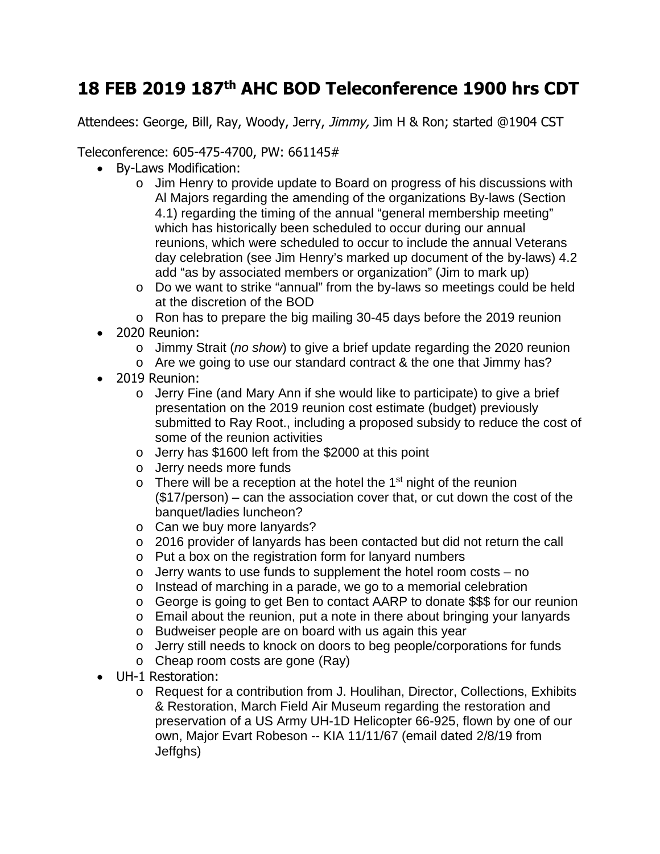## **18 FEB 2019 187th AHC BOD Teleconference 1900 hrs CDT**

Attendees: George, Bill, Ray, Woody, Jerry, Jimmy, Jim H & Ron; started @1904 CST

Teleconference: 605-475-4700, PW: 661145#

- By-Laws Modification:
	- o Jim Henry to provide update to Board on progress of his discussions with Al Majors regarding the amending of the organizations By-laws (Section 4.1) regarding the timing of the annual "general membership meeting" which has historically been scheduled to occur during our annual reunions, which were scheduled to occur to include the annual Veterans day celebration (see Jim Henry's marked up document of the by-laws) 4.2 add "as by associated members or organization" (Jim to mark up)
	- o Do we want to strike "annual" from the by-laws so meetings could be held at the discretion of the BOD
	- o Ron has to prepare the big mailing 30-45 days before the 2019 reunion
- 2020 Reunion:
	- o Jimmy Strait (*no show*) to give a brief update regarding the 2020 reunion
	- o Are we going to use our standard contract & the one that Jimmy has?
- 2019 Reunion:
	- o Jerry Fine (and Mary Ann if she would like to participate) to give a brief presentation on the 2019 reunion cost estimate (budget) previously submitted to Ray Root., including a proposed subsidy to reduce the cost of some of the reunion activities
	- o Jerry has \$1600 left from the \$2000 at this point
	- o Jerry needs more funds
	- $\circ$  There will be a reception at the hotel the 1<sup>st</sup> night of the reunion (\$17/person) – can the association cover that, or cut down the cost of the banquet/ladies luncheon?
	- o Can we buy more lanyards?
	- o 2016 provider of lanyards has been contacted but did not return the call
	- o Put a box on the registration form for lanyard numbers
	- $\circ$  Jerry wants to use funds to supplement the hotel room costs no
	- o Instead of marching in a parade, we go to a memorial celebration
	- o George is going to get Ben to contact AARP to donate \$\$\$ for our reunion
	- o Email about the reunion, put a note in there about bringing your lanyards
	- o Budweiser people are on board with us again this year
	- o Jerry still needs to knock on doors to beg people/corporations for funds
	- o Cheap room costs are gone (Ray)
- UH-1 Restoration:
	- o Request for a contribution from J. Houlihan, Director, Collections, Exhibits & Restoration, March Field Air Museum regarding the restoration and preservation of a US Army UH-1D Helicopter 66-925, flown by one of our own, Major Evart Robeson -- KIA 11/11/67 (email dated 2/8/19 from Jeffghs)